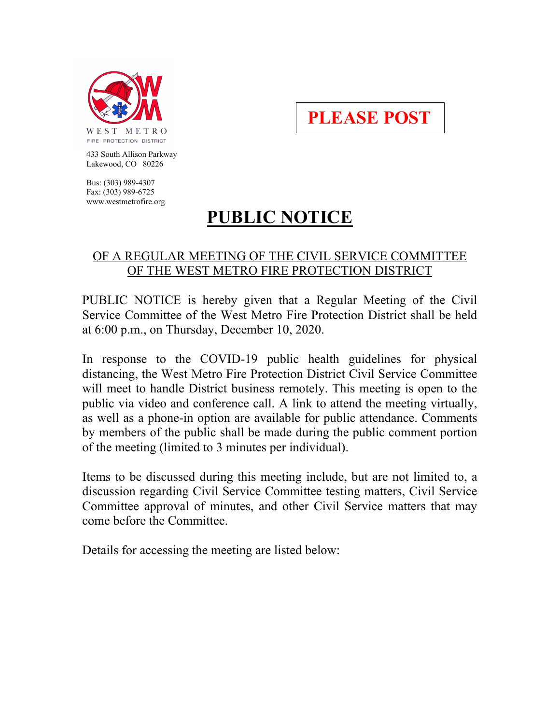

**PLEASE POST**

 433 South Allison Parkway Lakewood, CO 80226

 Bus: (303) 989-4307 Fax: (303) 989-6725 www.westmetrofire.org

## **PUBLIC NOTICE**

## OF A REGULAR MEETING OF THE CIVIL SERVICE COMMITTEE OF THE WEST METRO FIRE PROTECTION DISTRICT

PUBLIC NOTICE is hereby given that a Regular Meeting of the Civil Service Committee of the West Metro Fire Protection District shall be held at 6:00 p.m., on Thursday, December 10, 2020.

In response to the COVID-19 public health guidelines for physical distancing, the West Metro Fire Protection District Civil Service Committee will meet to handle District business remotely. This meeting is open to the public via video and conference call. A link to attend the meeting virtually, as well as a phone-in option are available for public attendance. Comments by members of the public shall be made during the public comment portion of the meeting (limited to 3 minutes per individual).

Items to be discussed during this meeting include, but are not limited to, a discussion regarding Civil Service Committee testing matters, Civil Service Committee approval of minutes, and other Civil Service matters that may come before the Committee.

Details for accessing the meeting are listed below: